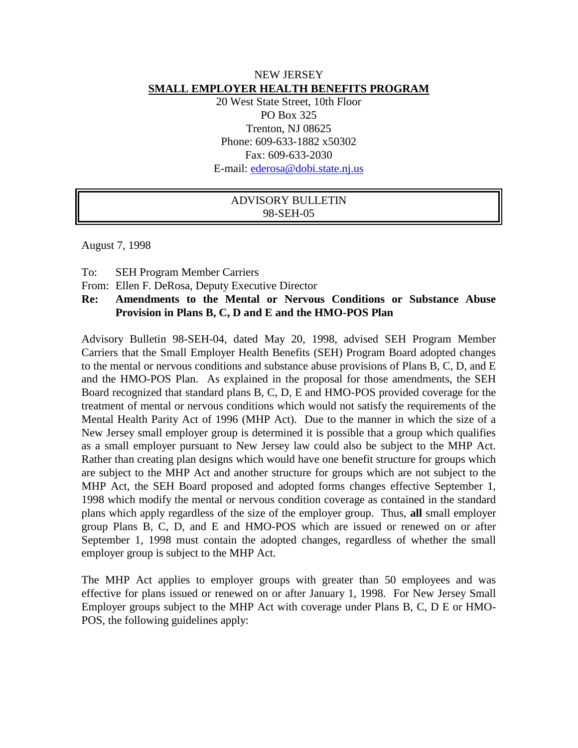## NEW JERSEY **SMALL EMPLOYER HEALTH BENEFITS PROGRAM**

20 West State Street, 10th Floor PO Box 325 Trenton, NJ 08625 Phone: 609-633-1882 x50302 Fax: 609-633-2030 E-mail: [ederosa@dobi.state.nj.us](mailto:ederosa@dobi.state.nj.us)

# ADVISORY BULLETIN 98-SEH-05

August 7, 1998

To: SEH Program Member Carriers

From: Ellen F. DeRosa, Deputy Executive Director

## **Re: Amendments to the Mental or Nervous Conditions or Substance Abuse Provision in Plans B, C, D and E and the HMO-POS Plan**

Advisory Bulletin 98-SEH-04, dated May 20, 1998, advised SEH Program Member Carriers that the Small Employer Health Benefits (SEH) Program Board adopted changes to the mental or nervous conditions and substance abuse provisions of Plans B, C, D, and E and the HMO-POS Plan. As explained in the proposal for those amendments, the SEH Board recognized that standard plans B, C, D, E and HMO-POS provided coverage for the treatment of mental or nervous conditions which would not satisfy the requirements of the Mental Health Parity Act of 1996 (MHP Act). Due to the manner in which the size of a New Jersey small employer group is determined it is possible that a group which qualifies as a small employer pursuant to New Jersey law could also be subject to the MHP Act. Rather than creating plan designs which would have one benefit structure for groups which are subject to the MHP Act and another structure for groups which are not subject to the MHP Act, the SEH Board proposed and adopted forms changes effective September 1, 1998 which modify the mental or nervous condition coverage as contained in the standard plans which apply regardless of the size of the employer group. Thus, **all** small employer group Plans B, C, D, and E and HMO-POS which are issued or renewed on or after September 1, 1998 must contain the adopted changes, regardless of whether the small employer group is subject to the MHP Act.

The MHP Act applies to employer groups with greater than 50 employees and was effective for plans issued or renewed on or after January 1, 1998. For New Jersey Small Employer groups subject to the MHP Act with coverage under Plans B, C, D E or HMO-POS, the following guidelines apply: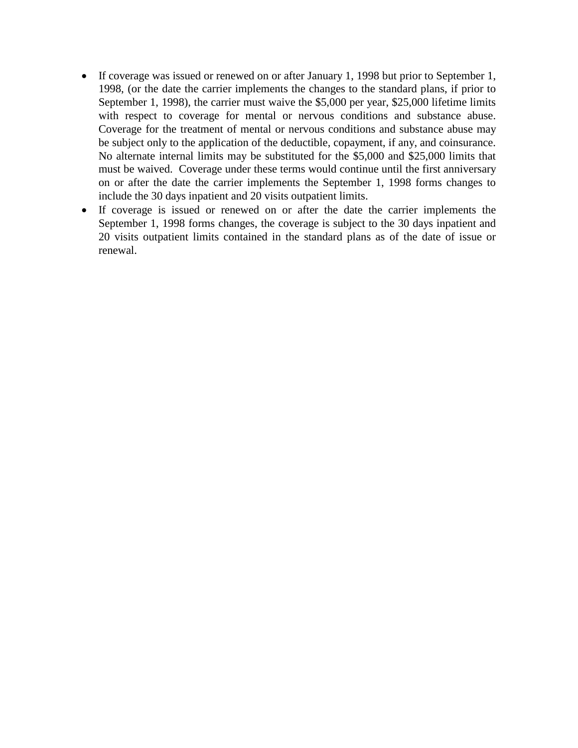- If coverage was issued or renewed on or after January 1, 1998 but prior to September 1, 1998, (or the date the carrier implements the changes to the standard plans, if prior to September 1, 1998), the carrier must waive the \$5,000 per year, \$25,000 lifetime limits with respect to coverage for mental or nervous conditions and substance abuse. Coverage for the treatment of mental or nervous conditions and substance abuse may be subject only to the application of the deductible, copayment, if any, and coinsurance. No alternate internal limits may be substituted for the \$5,000 and \$25,000 limits that must be waived. Coverage under these terms would continue until the first anniversary on or after the date the carrier implements the September 1, 1998 forms changes to include the 30 days inpatient and 20 visits outpatient limits.
- If coverage is issued or renewed on or after the date the carrier implements the September 1, 1998 forms changes, the coverage is subject to the 30 days inpatient and 20 visits outpatient limits contained in the standard plans as of the date of issue or renewal.